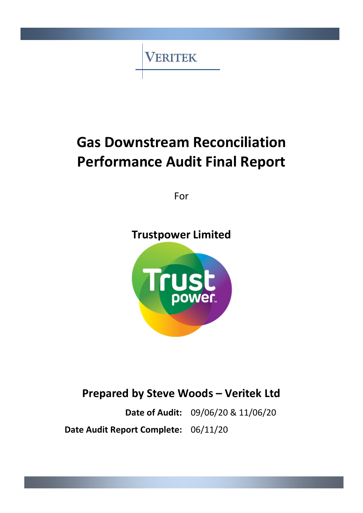**VERITEK** 

# **Gas Downstream Reconciliation Performance Audit Final Report**

For

# **Trustpower Limited**



# **Prepared by Steve Woods – Veritek Ltd**

**Date of Audit:** 09/06/20 & 11/06/20 **Date Audit Report Complete:** 06/11/20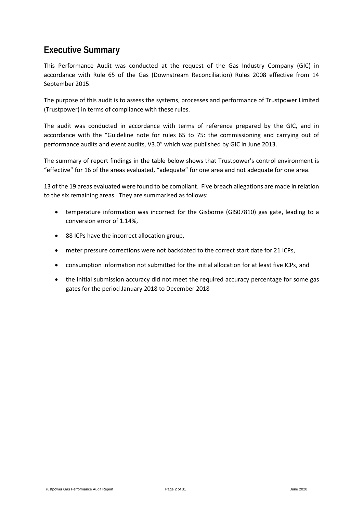### <span id="page-1-0"></span>**Executive Summary**

This Performance Audit was conducted at the request of the Gas Industry Company (GIC) in accordance with Rule 65 of the Gas (Downstream Reconciliation) Rules 2008 effective from 14 September 2015.

The purpose of this audit is to assess the systems, processes and performance of Trustpower Limited (Trustpower) in terms of compliance with these rules.

The audit was conducted in accordance with terms of reference prepared by the GIC, and in accordance with the "Guideline note for rules 65 to 75: the commissioning and carrying out of performance audits and event audits, V3.0" which was published by GIC in June 2013.

The summary of report findings in the table below shows that Trustpower's control environment is "effective" for 16 of the areas evaluated, "adequate" for one area and not adequate for one area.

13 of the 19 areas evaluated were found to be compliant. Five breach allegations are made in relation to the six remaining areas. They are summarised as follows:

- temperature information was incorrect for the Gisborne (GIS07810) gas gate, leading to a conversion error of 1.14%,
- 88 ICPs have the incorrect allocation group,
- meter pressure corrections were not backdated to the correct start date for 21 ICPs,
- consumption information not submitted for the initial allocation for at least five ICPs, and
- the initial submission accuracy did not meet the required accuracy percentage for some gas gates for the period January 2018 to December 2018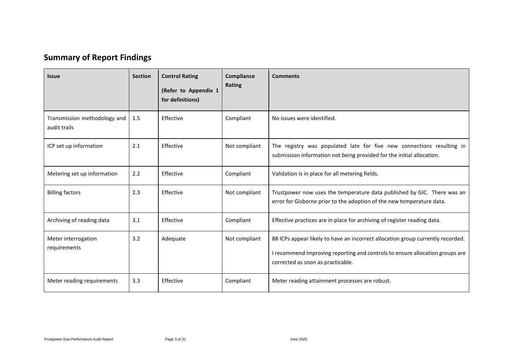## **Summary of Report Findings**

<span id="page-2-0"></span>

| <b>Issue</b>                                 | <b>Section</b> | <b>Control Rating</b><br>(Refer to Appendix 1<br>for definitions) | Compliance<br>Rating | <b>Comments</b>                                                                                                                                                                                      |
|----------------------------------------------|----------------|-------------------------------------------------------------------|----------------------|------------------------------------------------------------------------------------------------------------------------------------------------------------------------------------------------------|
| Transmission methodology and<br>audit trails | 1.5            | Effective                                                         | Compliant            | No issues were identified.                                                                                                                                                                           |
| ICP set up information                       | 2.1            | Effective                                                         | Not compliant        | The registry was populated late for five new connections resulting in<br>submission information not being provided for the initial allocation.                                                       |
| Metering set up information                  | 2.2            | Effective                                                         | Compliant            | Validation is in place for all metering fields.                                                                                                                                                      |
| <b>Billing factors</b>                       | 2.3            | Effective                                                         | Not compliant        | Trustpower now uses the temperature data published by GIC. There was an<br>error for Gisborne prior to the adoption of the new temperature data.                                                     |
| Archiving of reading data                    | 3.1            | Effective                                                         | Compliant            | Effective practices are in place for archiving of register reading data.                                                                                                                             |
| Meter interrogation<br>requirements          | 3.2            | Adequate                                                          | Not compliant        | 88 ICPs appear likely to have an incorrect allocation group currently recorded.<br>I recommend improving reporting and controls to ensure allocation groups are<br>corrected as soon as practicable. |
| Meter reading requirements                   | 3.3            | Effective                                                         | Compliant            | Meter reading attainment processes are robust.                                                                                                                                                       |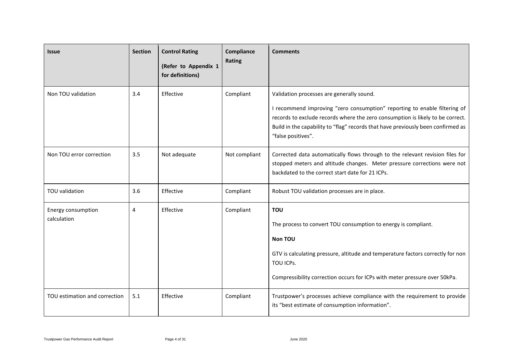| <b>Issue</b>                      | <b>Section</b> | <b>Control Rating</b><br>(Refer to Appendix 1<br>for definitions) | Compliance<br>Rating | <b>Comments</b>                                                                                                                                                                                                                                                                                                    |
|-----------------------------------|----------------|-------------------------------------------------------------------|----------------------|--------------------------------------------------------------------------------------------------------------------------------------------------------------------------------------------------------------------------------------------------------------------------------------------------------------------|
| Non TOU validation                | 3.4            | Effective                                                         | Compliant            | Validation processes are generally sound.<br>I recommend improving "zero consumption" reporting to enable filtering of<br>records to exclude records where the zero consumption is likely to be correct.<br>Build in the capability to "flag" records that have previously been confirmed as<br>"false positives". |
| Non TOU error correction          | 3.5            | Not adequate                                                      | Not compliant        | Corrected data automatically flows through to the relevant revision files for<br>stopped meters and altitude changes. Meter pressure corrections were not<br>backdated to the correct start date for 21 ICPs.                                                                                                      |
| TOU validation                    | 3.6            | Effective                                                         | Compliant            | Robust TOU validation processes are in place.                                                                                                                                                                                                                                                                      |
| Energy consumption<br>calculation | 4              | Effective                                                         | Compliant            | <b>TOU</b><br>The process to convert TOU consumption to energy is compliant.<br>Non TOU<br>GTV is calculating pressure, altitude and temperature factors correctly for non<br>TOU ICPs.<br>Compressibility correction occurs for ICPs with meter pressure over 50kPa.                                              |
| TOU estimation and correction     | 5.1            | Effective                                                         | Compliant            | Trustpower's processes achieve compliance with the requirement to provide<br>its "best estimate of consumption information".                                                                                                                                                                                       |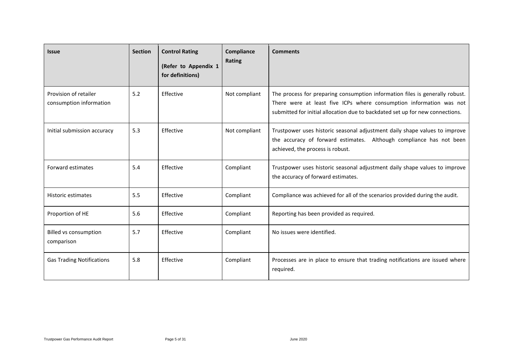| <b>Issue</b>                                     | <b>Section</b> | <b>Control Rating</b><br>(Refer to Appendix 1<br>for definitions) | Compliance<br>Rating | <b>Comments</b>                                                                                                                                                                                                                      |
|--------------------------------------------------|----------------|-------------------------------------------------------------------|----------------------|--------------------------------------------------------------------------------------------------------------------------------------------------------------------------------------------------------------------------------------|
| Provision of retailer<br>consumption information | 5.2            | Effective                                                         | Not compliant        | The process for preparing consumption information files is generally robust.<br>There were at least five ICPs where consumption information was not<br>submitted for initial allocation due to backdated set up for new connections. |
| Initial submission accuracy                      | 5.3            | Effective                                                         | Not compliant        | Trustpower uses historic seasonal adjustment daily shape values to improve<br>the accuracy of forward estimates. Although compliance has not been<br>achieved, the process is robust.                                                |
| Forward estimates                                | 5.4            | Effective                                                         | Compliant            | Trustpower uses historic seasonal adjustment daily shape values to improve<br>the accuracy of forward estimates.                                                                                                                     |
| <b>Historic estimates</b>                        | 5.5            | Effective                                                         | Compliant            | Compliance was achieved for all of the scenarios provided during the audit.                                                                                                                                                          |
| Proportion of HE                                 | 5.6            | Effective                                                         | Compliant            | Reporting has been provided as required.                                                                                                                                                                                             |
| <b>Billed vs consumption</b><br>comparison       | 5.7            | Effective                                                         | Compliant            | No issues were identified.                                                                                                                                                                                                           |
| <b>Gas Trading Notifications</b>                 | 5.8            | Effective                                                         | Compliant            | Processes are in place to ensure that trading notifications are issued where<br>required.                                                                                                                                            |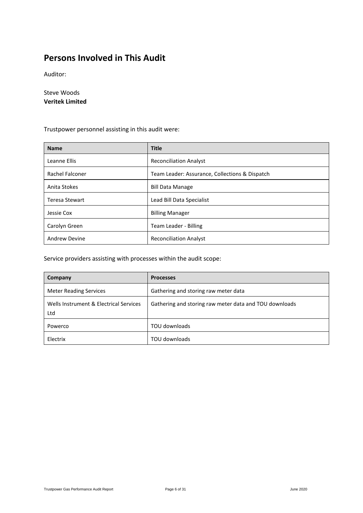### <span id="page-5-0"></span>**Persons Involved in This Audit**

Auditor:

Steve Woods **Veritek Limited**

Trustpower personnel assisting in this audit were:

| <b>Name</b>           | <b>Title</b>                                   |
|-----------------------|------------------------------------------------|
| Leanne Ellis          | <b>Reconciliation Analyst</b>                  |
| Rachel Falconer       | Team Leader: Assurance, Collections & Dispatch |
| Anita Stokes          | <b>Bill Data Manage</b>                        |
| <b>Teresa Stewart</b> | Lead Bill Data Specialist                      |
| Jessie Cox            | <b>Billing Manager</b>                         |
| Carolyn Green         | Team Leader - Billing                          |
| <b>Andrew Devine</b>  | <b>Reconciliation Analyst</b>                  |

Service providers assisting with processes within the audit scope:

| Company                                       | <b>Processes</b>                                       |
|-----------------------------------------------|--------------------------------------------------------|
| <b>Meter Reading Services</b>                 | Gathering and storing raw meter data                   |
| Wells Instrument & Electrical Services<br>Ltd | Gathering and storing raw meter data and TOU downloads |
| Powerco                                       | TOU downloads                                          |
| Electrix                                      | TOU downloads                                          |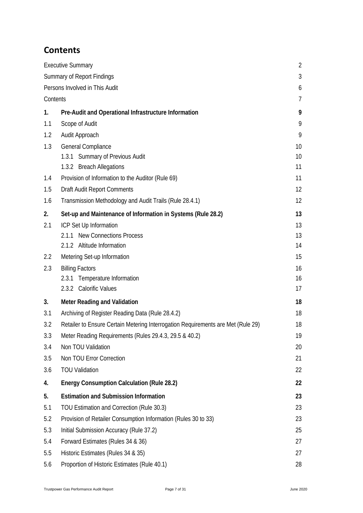### <span id="page-6-0"></span>**Contents**

|                                   | <b>Executive Summary</b>                                                         | $\overline{2}$ |  |  |  |
|-----------------------------------|----------------------------------------------------------------------------------|----------------|--|--|--|
| <b>Summary of Report Findings</b> |                                                                                  |                |  |  |  |
|                                   | Persons Involved in This Audit                                                   | 6              |  |  |  |
| Contents                          |                                                                                  |                |  |  |  |
| 1.                                | Pre-Audit and Operational Infrastructure Information                             | 9              |  |  |  |
| 1.1                               | Scope of Audit                                                                   | 9              |  |  |  |
| 1.2                               | Audit Approach                                                                   | 9              |  |  |  |
| 1.3                               | General Compliance                                                               | 10             |  |  |  |
|                                   | 1.3.1 Summary of Previous Audit                                                  | 10             |  |  |  |
|                                   | 1.3.2 Breach Allegations                                                         | 11             |  |  |  |
| 1.4                               | Provision of Information to the Auditor (Rule 69)                                | 11             |  |  |  |
| 1.5                               | Draft Audit Report Comments                                                      | 12             |  |  |  |
| 1.6                               | Transmission Methodology and Audit Trails (Rule 28.4.1)                          | 12             |  |  |  |
| 2.                                | Set-up and Maintenance of Information in Systems (Rule 28.2)                     | 13             |  |  |  |
| 2.1                               | ICP Set Up Information                                                           | 13             |  |  |  |
|                                   | 2.1.1 New Connections Process                                                    | 13             |  |  |  |
|                                   | 2.1.2 Altitude Information                                                       | 14             |  |  |  |
| 2.2                               | Metering Set-up Information                                                      | 15             |  |  |  |
| 2.3                               | <b>Billing Factors</b>                                                           | 16             |  |  |  |
|                                   | 2.3.1 Temperature Information                                                    | 16             |  |  |  |
|                                   | 2.3.2 Calorific Values                                                           | 17             |  |  |  |
| 3.                                | <b>Meter Reading and Validation</b>                                              | 18             |  |  |  |
| 3.1                               | Archiving of Register Reading Data (Rule 28.4.2)                                 | 18             |  |  |  |
| 3.2                               | Retailer to Ensure Certain Metering Interrogation Requirements are Met (Rule 29) | 18             |  |  |  |
| 3.3                               | Meter Reading Requirements (Rules 29.4.3, 29.5 & 40.2)                           | 19             |  |  |  |
| 3.4                               | Non TOU Validation                                                               | 20             |  |  |  |
| 3.5                               | Non TOU Error Correction                                                         | 21             |  |  |  |
| 3.6                               | <b>TOU Validation</b>                                                            | 22             |  |  |  |
| 4.                                | <b>Energy Consumption Calculation (Rule 28.2)</b>                                | 22             |  |  |  |
| 5.                                | <b>Estimation and Submission Information</b>                                     | 23             |  |  |  |
| 5.1                               | TOU Estimation and Correction (Rule 30.3)                                        | 23             |  |  |  |
| 5.2                               | Provision of Retailer Consumption Information (Rules 30 to 33)                   | 23             |  |  |  |
| 5.3                               | Initial Submission Accuracy (Rule 37.2)                                          | 25             |  |  |  |
| 5.4                               | Forward Estimates (Rules 34 & 36)                                                | 27             |  |  |  |
| 5.5                               | Historic Estimates (Rules 34 & 35)                                               | 27             |  |  |  |
| 5.6                               | Proportion of Historic Estimates (Rule 40.1)                                     | 28             |  |  |  |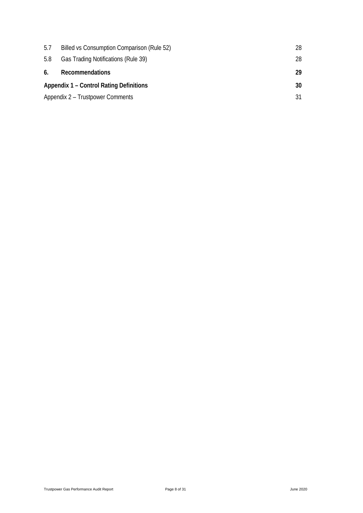| 5.7 | Billed vs Consumption Comparison (Rule 52)     | 28 |
|-----|------------------------------------------------|----|
| 5.8 | Gas Trading Notifications (Rule 39)            | 28 |
| 6.  | Recommendations                                | 29 |
|     | <b>Appendix 1 – Control Rating Definitions</b> |    |
|     | Appendix 2 – Trustpower Comments               |    |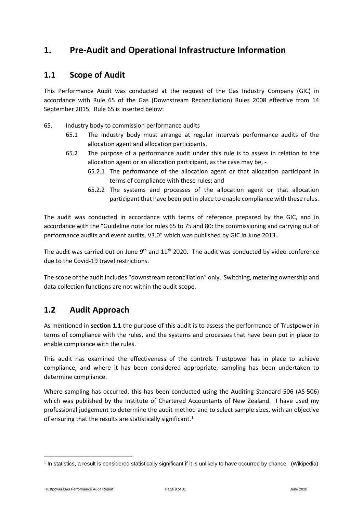### <span id="page-8-0"></span>**1. Pre-Audit and Operational Infrastructure Information**

#### <span id="page-8-1"></span>**1.1 Scope of Audit**

This Performance Audit was conducted at the request of the Gas Industry Company (GIC) in accordance with Rule 65 of the Gas (Downstream Reconciliation) Rules 2008 effective from 14 September 2015. Rule 65 is inserted below:

- 65. Industry body to commission performance audits
	- 65.1 The industry body must arrange at regular intervals performance audits of the allocation agent and allocation participants.
	- 65.2 The purpose of a performance audit under this rule is to assess in relation to the allocation agent or an allocation participant, as the case may be, -
		- 65.2.1 The performance of the allocation agent or that allocation participant in terms of compliance with these rules; and
		- 65.2.2 The systems and processes of the allocation agent or that allocation participant that have been put in place to enable compliance with these rules.

The audit was conducted in accordance with terms of reference prepared by the GIC, and in accordance with the "Guideline note for rules 65 to 75 and 80: the commissioning and carrying out of performance audits and event audits, V3.0" which was published by GIC in June 2013.

The audit was carried out on June  $9<sup>th</sup>$  and  $11<sup>th</sup>$  2020. The audit was conducted by video conference due to the Covid-19 travel restrictions.

The scope of the audit includes "downstream reconciliation" only. Switching, metering ownership and data collection functions are not within the audit scope.

#### <span id="page-8-2"></span>**1.2 Audit Approach**

As mentioned in **section 1.1** the purpose of this audit is to assess the performance of Trustpower in terms of compliance with the rules, and the systems and processes that have been put in place to enable compliance with the rules.

This audit has examined the effectiveness of the controls Trustpower has in place to achieve compliance, and where it has been considered appropriate, sampling has been undertaken to determine compliance.

Where sampling has occurred, this has been conducted using the Auditing Standard 506 (AS-506) which was published by the Institute of Chartered Accountants of New Zealand. I have used my professional judgement to determine the audit method and to select sample sizes, with an objective of ensuring that the results are statistically significant.<sup>[1](#page-8-3)</sup>

<span id="page-8-3"></span><sup>1</sup> In statistics, a result is considered statistically significant if it is unlikely to have occurred by chance. (Wikipedia)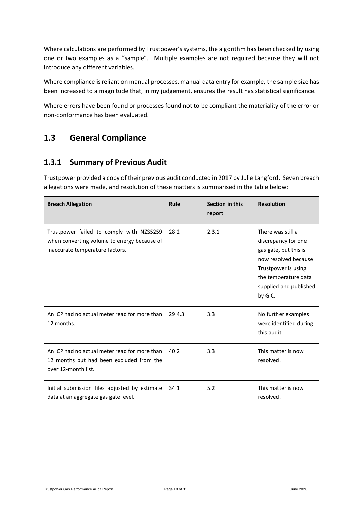Where calculations are performed by Trustpower's systems, the algorithm has been checked by using one or two examples as a "sample". Multiple examples are not required because they will not introduce any different variables.

Where compliance is reliant on manual processes, manual data entry for example, the sample size has been increased to a magnitude that, in my judgement, ensures the result has statistical significance.

Where errors have been found or processes found not to be compliant the materiality of the error or non-conformance has been evaluated.

#### <span id="page-9-0"></span>**1.3 General Compliance**

#### <span id="page-9-1"></span>**1.3.1 Summary of Previous Audit**

Trustpower provided a copy of their previous audit conducted in 2017 by Julie Langford. Seven breach allegations were made, and resolution of these matters is summarised in the table below:

| <b>Breach Allegation</b>                                                                                                   | Rule   | Section in this<br>report | <b>Resolution</b>                                                                                                                                                             |
|----------------------------------------------------------------------------------------------------------------------------|--------|---------------------------|-------------------------------------------------------------------------------------------------------------------------------------------------------------------------------|
| Trustpower failed to comply with NZS5259<br>when converting volume to energy because of<br>inaccurate temperature factors. | 28.2   | 2.3.1                     | There was still a<br>discrepancy for one<br>gas gate, but this is<br>now resolved because<br>Trustpower is using<br>the temperature data<br>supplied and published<br>by GIC. |
| An ICP had no actual meter read for more than<br>12 months.                                                                | 29.4.3 | 3.3                       | No further examples<br>were identified during<br>this audit.                                                                                                                  |
| An ICP had no actual meter read for more than<br>12 months but had been excluded from the<br>over 12-month list.           | 40.2   | 3.3                       | This matter is now<br>resolved.                                                                                                                                               |
| Initial submission files adjusted by estimate<br>data at an aggregate gas gate level.                                      | 34.1   | 5.2                       | This matter is now<br>resolved.                                                                                                                                               |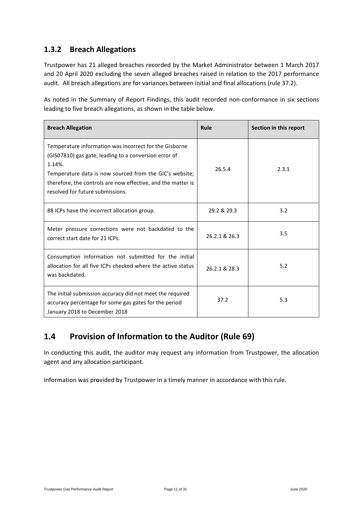#### <span id="page-10-0"></span>**1.3.2 Breach Allegations**

Trustpower has 21 alleged breaches recorded by the Market Administrator between 1 March 2017 and 20 April 2020 excluding the seven alleged breaches raised in relation to the 2017 performance audit. All breach allegations are for variances between initial and final allocations (rule 37.2).

As noted in the Summary of Report Findings, this audit recorded non-conformance in six sections leading to five breach allegations, as shown in the table below.

| <b>Breach Allegation</b>                                                                                                                                                                                                                                                                 | Rule          | Section in this report |
|------------------------------------------------------------------------------------------------------------------------------------------------------------------------------------------------------------------------------------------------------------------------------------------|---------------|------------------------|
| Temperature information was incorrect for the Gisborne<br>(GISO7810) gas gate, leading to a conversion error of<br>1.14%.<br>Temperature data is now sourced from the GIC's website;<br>therefore, the controls are now effective, and the matter is<br>resolved for future submissions. | 26.5.4        | 2.3.1                  |
| 88 ICPs have the incorrect allocation group.                                                                                                                                                                                                                                             | 29.2 & 29.3   | 3.2                    |
| Meter pressure corrections were not backdated to the<br>correct start date for 21 ICPs.                                                                                                                                                                                                  | 26.2.1 & 26.3 | 3.5                    |
| Consumption information not submitted for the initial<br>allocation for all five ICPs checked where the active status<br>was backdated.                                                                                                                                                  | 26.2.1 & 28.3 | 5.2                    |
| The initial submission accuracy did not meet the required<br>accuracy percentage for some gas gates for the period<br>January 2018 to December 2018                                                                                                                                      | 37.2          | 5.3                    |

### <span id="page-10-1"></span>**1.4 Provision of Information to the Auditor (Rule 69)**

In conducting this audit, the auditor may request any information from Trustpower, the allocation agent and any allocation participant.

Information was provided by Trustpower in a timely manner in accordance with this rule.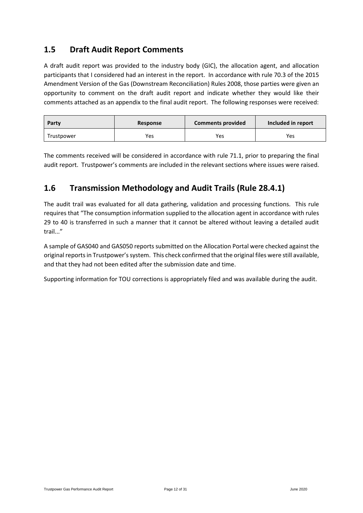#### <span id="page-11-0"></span>**1.5 Draft Audit Report Comments**

A draft audit report was provided to the industry body (GIC), the allocation agent, and allocation participants that I considered had an interest in the report. In accordance with rule 70.3 of the 2015 Amendment Version of the Gas (Downstream Reconciliation) Rules 2008, those parties were given an opportunity to comment on the draft audit report and indicate whether they would like their comments attached as an appendix to the final audit report. The following responses were received:

| Party      | Response | <b>Comments provided</b> | Included in report |
|------------|----------|--------------------------|--------------------|
| Trustpower | Yes      | Yes                      | Yes                |

The comments received will be considered in accordance with rule 71.1, prior to preparing the final audit report. Trustpower's comments are included in the relevant sections where issues were raised.

#### <span id="page-11-1"></span>**1.6 Transmission Methodology and Audit Trails (Rule 28.4.1)**

The audit trail was evaluated for all data gathering, validation and processing functions. This rule requires that "The consumption information supplied to the allocation agent in accordance with rules 29 to 40 is transferred in such a manner that it cannot be altered without leaving a detailed audit trail..."

A sample of GAS040 and GAS050 reports submitted on the Allocation Portal were checked against the original reports in Trustpower's system. This check confirmed that the original files were still available, and that they had not been edited after the submission date and time.

Supporting information for TOU corrections is appropriately filed and was available during the audit.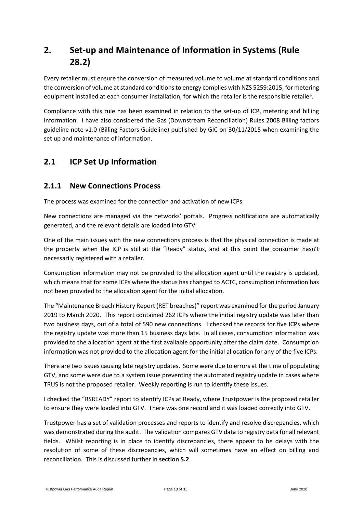### <span id="page-12-0"></span>**2. Set-up and Maintenance of Information in Systems (Rule 28.2)**

Every retailer must ensure the conversion of measured volume to volume at standard conditions and the conversion of volume at standard conditions to energy complies with NZS 5259:2015, for metering equipment installed at each consumer installation, for which the retailer is the responsible retailer.

Compliance with this rule has been examined in relation to the set-up of ICP, metering and billing information. I have also considered the Gas (Downstream Reconciliation) Rules 2008 Billing factors guideline note v1.0 (Billing Factors Guideline) published by GIC on 30/11/2015 when examining the set up and maintenance of information.

### <span id="page-12-1"></span>**2.1 ICP Set Up Information**

#### <span id="page-12-2"></span>**2.1.1 New Connections Process**

The process was examined for the connection and activation of new ICPs.

New connections are managed via the networks' portals. Progress notifications are automatically generated, and the relevant details are loaded into GTV.

One of the main issues with the new connections process is that the physical connection is made at the property when the ICP is still at the "Ready" status, and at this point the consumer hasn't necessarily registered with a retailer.

Consumption information may not be provided to the allocation agent until the registry is updated, which means that for some ICPs where the status has changed to ACTC, consumption information has not been provided to the allocation agent for the initial allocation.

The "Maintenance Breach History Report (RET breaches)" report was examined for the period January 2019 to March 2020. This report contained 262 ICPs where the initial registry update was later than two business days, out of a total of 590 new connections. I checked the records for five ICPs where the registry update was more than 15 business days late. In all cases, consumption information was provided to the allocation agent at the first available opportunity after the claim date. Consumption information was not provided to the allocation agent for the initial allocation for any of the five ICPs.

There are two issues causing late registry updates. Some were due to errors at the time of populating GTV, and some were due to a system issue preventing the automated registry update in cases where TRUS is not the proposed retailer. Weekly reporting is run to identify these issues.

I checked the "RSREADY" report to identify ICPs at Ready, where Trustpower is the proposed retailer to ensure they were loaded into GTV. There was one record and it was loaded correctly into GTV.

Trustpower has a set of validation processes and reports to identify and resolve discrepancies, which was demonstrated during the audit. The validation compares GTV data to registry data for all relevant fields. Whilst reporting is in place to identify discrepancies, there appear to be delays with the resolution of some of these discrepancies, which will sometimes have an effect on billing and reconciliation. This is discussed further in **section 5.2**.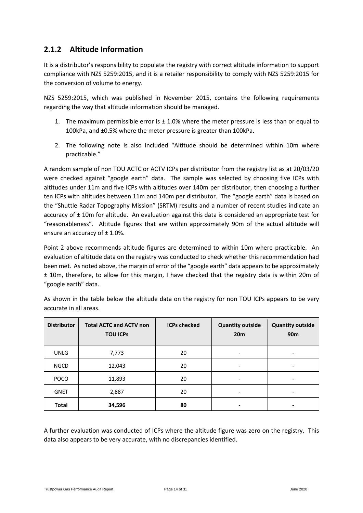#### <span id="page-13-0"></span>**2.1.2 Altitude Information**

It is a distributor's responsibility to populate the registry with correct altitude information to support compliance with NZS 5259:2015, and it is a retailer responsibility to comply with NZS 5259:2015 for the conversion of volume to energy.

NZS 5259:2015, which was published in November 2015, contains the following requirements regarding the way that altitude information should be managed.

- 1. The maximum permissible error is  $\pm$  1.0% where the meter pressure is less than or equal to 100kPa, and ±0.5% where the meter pressure is greater than 100kPa.
- 2. The following note is also included "Altitude should be determined within 10m where practicable."

A random sample of non TOU ACTC or ACTV ICPs per distributor from the registry list as at 20/03/20 were checked against "google earth" data. The sample was selected by choosing five ICPs with altitudes under 11m and five ICPs with altitudes over 140m per distributor, then choosing a further ten ICPs with altitudes between 11m and 140m per distributor. The "google earth" data is based on the "Shuttle Radar Topography Mission" (SRTM) results and a number of recent studies indicate an accuracy of ± 10m for altitude. An evaluation against this data is considered an appropriate test for "reasonableness". Altitude figures that are within approximately 90m of the actual altitude will ensure an accuracy of  $\pm$  1.0%.

Point 2 above recommends altitude figures are determined to within 10m where practicable. An evaluation of altitude data on the registry was conducted to check whether this recommendation had been met. As noted above, the margin of error of the "google earth" data appears to be approximately ± 10m, therefore, to allow for this margin, I have checked that the registry data is within 20m of "google earth" data.

| <b>Distributor</b> | <b>Total ACTC and ACTV non</b><br><b>TOU ICPS</b> | <b>ICPs checked</b> | <b>Quantity outside</b><br>20 <sub>m</sub> | <b>Quantity outside</b><br>90 <sub>m</sub> |
|--------------------|---------------------------------------------------|---------------------|--------------------------------------------|--------------------------------------------|
| <b>UNLG</b>        | 7,773                                             | 20                  | $\overline{\phantom{a}}$                   |                                            |
| <b>NGCD</b>        | 12,043                                            | 20                  | -                                          |                                            |
| <b>POCO</b>        | 11,893                                            | 20                  |                                            |                                            |
| <b>GNET</b>        | 2,887                                             | 20                  | $\overline{\phantom{a}}$                   | $\overline{\phantom{a}}$                   |
| <b>Total</b>       | 34,596                                            | 80                  | -                                          |                                            |

As shown in the table below the altitude data on the registry for non TOU ICPs appears to be very accurate in all areas.

A further evaluation was conducted of ICPs where the altitude figure was zero on the registry. This data also appears to be very accurate, with no discrepancies identified.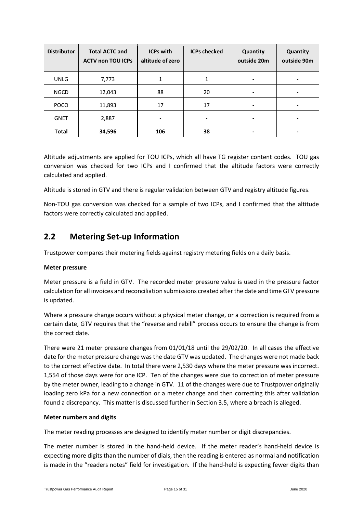| <b>Distributor</b> | <b>Total ACTC and</b><br><b>ACTV non TOU ICPs</b> | <b>ICPs with</b><br>altitude of zero | <b>ICPs checked</b>      | Quantity<br>outside 20m  | Quantity<br>outside 90m |
|--------------------|---------------------------------------------------|--------------------------------------|--------------------------|--------------------------|-------------------------|
| <b>UNLG</b>        | 7,773                                             |                                      | 1                        |                          |                         |
| <b>NGCD</b>        | 12,043                                            | 88                                   | 20                       | -                        |                         |
| <b>POCO</b>        | 11,893                                            | 17                                   | 17                       | $\overline{\phantom{0}}$ |                         |
| <b>GNET</b>        | 2,887                                             |                                      | $\overline{\phantom{a}}$ | -                        | -                       |
| <b>Total</b>       | 34,596                                            | 106                                  | 38                       |                          |                         |

Altitude adjustments are applied for TOU ICPs, which all have TG register content codes. TOU gas conversion was checked for two ICPs and I confirmed that the altitude factors were correctly calculated and applied.

Altitude is stored in GTV and there is regular validation between GTV and registry altitude figures.

Non-TOU gas conversion was checked for a sample of two ICPs, and I confirmed that the altitude factors were correctly calculated and applied.

#### <span id="page-14-0"></span>**2.2 Metering Set-up Information**

Trustpower compares their metering fields against registry metering fields on a daily basis.

#### **Meter pressure**

Meter pressure is a field in GTV. The recorded meter pressure value is used in the pressure factor calculation for all invoices and reconciliation submissions created after the date and time GTV pressure is updated.

Where a pressure change occurs without a physical meter change, or a correction is required from a certain date, GTV requires that the "reverse and rebill" process occurs to ensure the change is from the correct date.

There were 21 meter pressure changes from 01/01/18 until the 29/02/20. In all cases the effective date for the meter pressure change was the date GTV was updated. The changes were not made back to the correct effective date. In total there were 2,530 days where the meter pressure was incorrect. 1,554 of those days were for one ICP. Ten of the changes were due to correction of meter pressure by the meter owner, leading to a change in GTV. 11 of the changes were due to Trustpower originally loading zero kPa for a new connection or a meter change and then correcting this after validation found a discrepancy. This matter is discussed further in Section 3.5, where a breach is alleged.

#### **Meter numbers and digits**

The meter reading processes are designed to identify meter number or digit discrepancies.

The meter number is stored in the hand-held device. If the meter reader's hand-held device is expecting more digits than the number of dials, then the reading is entered as normal and notification is made in the "readers notes" field for investigation. If the hand-held is expecting fewer digits than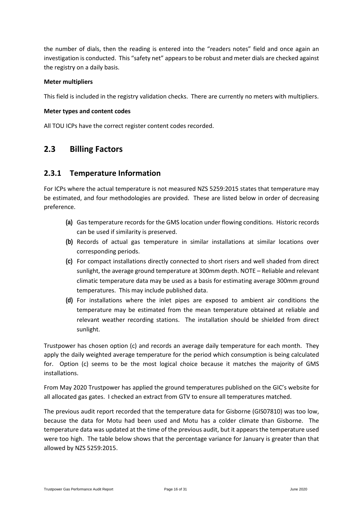the number of dials, then the reading is entered into the "readers notes" field and once again an investigation is conducted. This "safety net" appears to be robust and meter dials are checked against the registry on a daily basis.

#### **Meter multipliers**

This field is included in the registry validation checks. There are currently no meters with multipliers.

#### **Meter types and content codes**

All TOU ICPs have the correct register content codes recorded.

#### <span id="page-15-0"></span>**2.3 Billing Factors**

#### <span id="page-15-1"></span>**2.3.1 Temperature Information**

For ICPs where the actual temperature is not measured NZS 5259:2015 states that temperature may be estimated, and four methodologies are provided. These are listed below in order of decreasing preference.

- **(a)** Gas temperature records for the GMS location under flowing conditions. Historic records can be used if similarity is preserved.
- **(b)** Records of actual gas temperature in similar installations at similar locations over corresponding periods.
- **(c)** For compact installations directly connected to short risers and well shaded from direct sunlight, the average ground temperature at 300mm depth. NOTE – Reliable and relevant climatic temperature data may be used as a basis for estimating average 300mm ground temperatures. This may include published data.
- **(d)** For installations where the inlet pipes are exposed to ambient air conditions the temperature may be estimated from the mean temperature obtained at reliable and relevant weather recording stations. The installation should be shielded from direct sunlight.

Trustpower has chosen option (c) and records an average daily temperature for each month. They apply the daily weighted average temperature for the period which consumption is being calculated for. Option (c) seems to be the most logical choice because it matches the majority of GMS installations.

From May 2020 Trustpower has applied the ground temperatures published on the GIC's website for all allocated gas gates. I checked an extract from GTV to ensure all temperatures matched.

The previous audit report recorded that the temperature data for Gisborne (GIS07810) was too low, because the data for Motu had been used and Motu has a colder climate than Gisborne. The temperature data was updated at the time of the previous audit, but it appears the temperature used were too high. The table below shows that the percentage variance for January is greater than that allowed by NZS 5259:2015.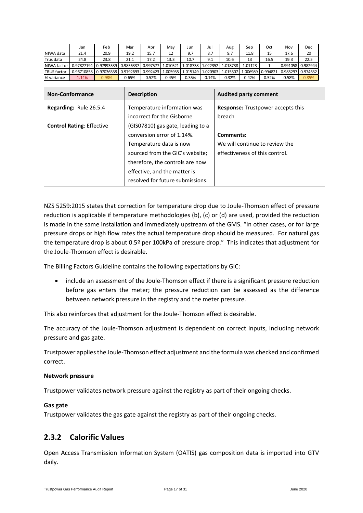|                    | Jan        | Feb                   | Mar       | Apr      | Mav     | Jun                 | Jul      | Aug      | Sep      | Oct      | Nov               | Dec      |
|--------------------|------------|-----------------------|-----------|----------|---------|---------------------|----------|----------|----------|----------|-------------------|----------|
| NIWA data          | 21.4       | 20.9                  | 19.2      | 15.7     | 12      | 9.7                 | 8.7      | 9.7      | 11.8     | 15       | 17.6              | 20       |
| lTrus data         | 24.8       | 23.8                  | 21.1      | 17.2     | 13.3    | 10.7                | 9.1      | 10.6     | 13       | 16.5     | 19.3              | 22.5     |
| NIWA factor        | 0.97827194 | 0.97993539            | 0.9856337 | 0.997577 | .010521 | 1.018738            | 1.022352 | 1.018738 | 1.01123  |          | 0.991058 0.982944 |          |
| <b>TRUS</b> factor |            | 0.96710858 0.97036538 | 0.9792693 | 0.992423 |         | 1.005935   1.015149 | 1.020903 | 1.015507 | 1.006989 | 0.994821 | 0.985297          | 0.974632 |
| % variance         | 1.14%      | 0.98%                 | 0.65%     | 0.52%    | 0.45%   | 0.35%               | 0.14%    | 0.32%    | 0.42%    | 0.52%    | 0.58%             | 0.85%    |

| <b>Non-Conformance</b>           | <b>Description</b>                                                                                                            | <b>Audited party comment</b>                                     |
|----------------------------------|-------------------------------------------------------------------------------------------------------------------------------|------------------------------------------------------------------|
| Regarding: Rule 26.5.4           | Temperature information was<br>incorrect for the Gisborne                                                                     | <b>Response:</b> Trustpower accepts this<br>breach               |
| <b>Control Rating: Effective</b> | (GIS07810) gas gate, leading to a<br>conversion error of 1.14%.                                                               | Comments:                                                        |
|                                  | Temperature data is now<br>sourced from the GIC's website;<br>therefore, the controls are now<br>effective, and the matter is | We will continue to review the<br>effectiveness of this control. |
|                                  | resolved for future submissions.                                                                                              |                                                                  |

NZS 5259:2015 states that correction for temperature drop due to Joule-Thomson effect of pressure reduction is applicable if temperature methodologies (b), (c) or (d) are used, provided the reduction is made in the same installation and immediately upstream of the GMS. "In other cases, or for large pressure drops or high flow rates the actual temperature drop should be measured. For natural gas the temperature drop is about 0.5º per 100kPa of pressure drop." This indicates that adjustment for the Joule-Thomson effect is desirable.

The Billing Factors Guideline contains the following expectations by GIC:

• include an assessment of the Joule-Thomson effect if there is a significant pressure reduction before gas enters the meter; the pressure reduction can be assessed as the difference between network pressure in the registry and the meter pressure.

This also reinforces that adjustment for the Joule-Thomson effect is desirable.

The accuracy of the Joule-Thomson adjustment is dependent on correct inputs, including network pressure and gas gate.

Trustpower applies the Joule-Thomson effect adjustment and the formula was checked and confirmed correct.

#### **Network pressure**

Trustpower validates network pressure against the registry as part of their ongoing checks.

#### **Gas gate**

Trustpower validates the gas gate against the registry as part of their ongoing checks.

#### <span id="page-16-0"></span>**2.3.2 Calorific Values**

Open Access Transmission Information System (OATIS) gas composition data is imported into GTV daily.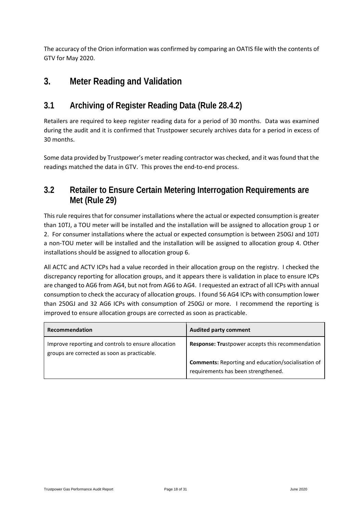The accuracy of the Orion information was confirmed by comparing an OATIS file with the contents of GTV for May 2020.

### <span id="page-17-0"></span>**3. Meter Reading and Validation**

### <span id="page-17-1"></span>**3.1 Archiving of Register Reading Data (Rule 28.4.2)**

Retailers are required to keep register reading data for a period of 30 months. Data was examined during the audit and it is confirmed that Trustpower securely archives data for a period in excess of 30 months.

Some data provided by Trustpower's meter reading contractor was checked, and it was found that the readings matched the data in GTV. This proves the end-to-end process.

### <span id="page-17-2"></span>**3.2 Retailer to Ensure Certain Metering Interrogation Requirements are Met (Rule 29)**

This rule requires that for consumer installations where the actual or expected consumption is greater than 10TJ, a TOU meter will be installed and the installation will be assigned to allocation group 1 or 2. For consumer installations where the actual or expected consumption is between 250GJ and 10TJ a non-TOU meter will be installed and the installation will be assigned to allocation group 4. Other installations should be assigned to allocation group 6.

All ACTC and ACTV ICPs had a value recorded in their allocation group on the registry. I checked the discrepancy reporting for allocation groups, and it appears there is validation in place to ensure ICPs are changed to AG6 from AG4, but not from AG6 to AG4. I requested an extract of all ICPs with annual consumption to check the accuracy of allocation groups. I found 56 AG4 ICPs with consumption lower than 250GJ and 32 AG6 ICPs with consumption of 250GJ or more. I recommend the reporting is improved to ensure allocation groups are corrected as soon as practicable.

| Recommendation                                                                                      | <b>Audited party comment</b>                                                                     |
|-----------------------------------------------------------------------------------------------------|--------------------------------------------------------------------------------------------------|
| Improve reporting and controls to ensure allocation<br>groups are corrected as soon as practicable. | <b>Response: Trustpower accepts this recommendation</b>                                          |
|                                                                                                     | <b>Comments:</b> Reporting and education/socialisation of<br>requirements has been strengthened. |
|                                                                                                     |                                                                                                  |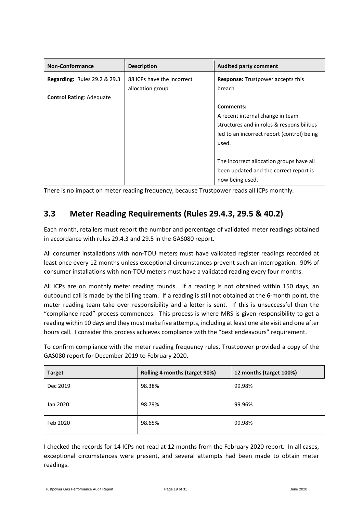| <b>Non-Conformance</b>                  | <b>Description</b>         | <b>Audited party comment</b>               |
|-----------------------------------------|----------------------------|--------------------------------------------|
| <b>Regarding: Rules 29.2 &amp; 29.3</b> | 88 ICPs have the incorrect | <b>Response:</b> Trustpower accepts this   |
|                                         | allocation group.          | breach                                     |
| <b>Control Rating: Adequate</b>         |                            |                                            |
|                                         |                            | Comments:                                  |
|                                         |                            | A recent internal change in team           |
|                                         |                            | structures and in roles & responsibilities |
|                                         |                            | led to an incorrect report (control) being |
|                                         |                            | used.                                      |
|                                         |                            |                                            |
|                                         |                            | The incorrect allocation groups have all   |
|                                         |                            | been updated and the correct report is     |
|                                         |                            | now being used.                            |

There is no impact on meter reading frequency, because Trustpower reads all ICPs monthly.

### <span id="page-18-0"></span>**3.3 Meter Reading Requirements (Rules 29.4.3, 29.5 & 40.2)**

Each month, retailers must report the number and percentage of validated meter readings obtained in accordance with rules 29.4.3 and 29.5 in the GAS080 report.

All consumer installations with non-TOU meters must have validated register readings recorded at least once every 12 months unless exceptional circumstances prevent such an interrogation. 90% of consumer installations with non-TOU meters must have a validated reading every four months.

All ICPs are on monthly meter reading rounds. If a reading is not obtained within 150 days, an outbound call is made by the billing team. If a reading is still not obtained at the 6-month point, the meter reading team take over responsibility and a letter is sent. If this is unsuccessful then the "compliance read" process commences. This process is where MRS is given responsibility to get a reading within 10 days and they must make five attempts, including at least one site visit and one after hours call. I consider this process achieves compliance with the "best endeavours" requirement.

To confirm compliance with the meter reading frequency rules, Trustpower provided a copy of the GAS080 report for December 2019 to February 2020.

| <b>Target</b> | Rolling 4 months (target 90%) | 12 months (target 100%) |
|---------------|-------------------------------|-------------------------|
| Dec 2019      | 98.38%                        | 99.98%                  |
| Jan 2020      | 98.79%                        | 99.96%                  |
| Feb 2020      | 98.65%                        | 99.98%                  |

I checked the records for 14 ICPs not read at 12 months from the February 2020 report. In all cases, exceptional circumstances were present, and several attempts had been made to obtain meter readings.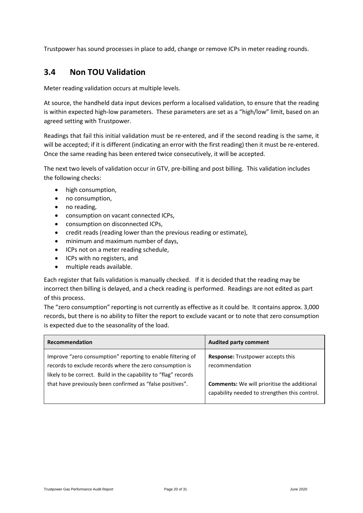Trustpower has sound processes in place to add, change or remove ICPs in meter reading rounds.

#### <span id="page-19-0"></span>**3.4 Non TOU Validation**

Meter reading validation occurs at multiple levels.

At source, the handheld data input devices perform a localised validation, to ensure that the reading is within expected high-low parameters. These parameters are set as a "high/low" limit, based on an agreed setting with Trustpower.

Readings that fail this initial validation must be re-entered, and if the second reading is the same, it will be accepted; if it is different (indicating an error with the first reading) then it must be re-entered. Once the same reading has been entered twice consecutively, it will be accepted.

The next two levels of validation occur in GTV, pre-billing and post billing. This validation includes the following checks:

- high consumption,
- no consumption,
- no reading,
- consumption on vacant connected ICPs,
- consumption on disconnected ICPs,
- credit reads (reading lower than the previous reading or estimate),
- minimum and maximum number of days,
- ICPs not on a meter reading schedule,
- ICPs with no registers, and
- multiple reads available.

Each register that fails validation is manually checked. If it is decided that the reading may be incorrect then billing is delayed, and a check reading is performed. Readings are not edited as part of this process.

The "zero consumption" reporting is not currently as effective as it could be. It contains approx. 3,000 records, but there is no ability to filter the report to exclude vacant or to note that zero consumption is expected due to the seasonality of the load.

| Recommendation                                                  | <b>Audited party comment</b>                       |
|-----------------------------------------------------------------|----------------------------------------------------|
| Improve "zero consumption" reporting to enable filtering of     | Response: Trustpower accepts this                  |
| records to exclude records where the zero consumption is        | recommendation                                     |
| likely to be correct. Build in the capability to "flag" records | <b>Comments:</b> We will prioritise the additional |
| that have previously been confirmed as "false positives".       | capability needed to strengthen this control.      |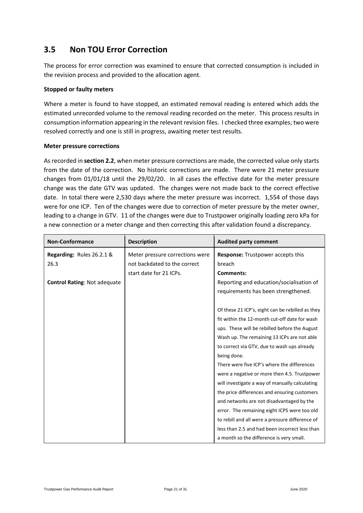### <span id="page-20-0"></span>**3.5 Non TOU Error Correction**

The process for error correction was examined to ensure that corrected consumption is included in the revision process and provided to the allocation agent.

#### **Stopped or faulty meters**

Where a meter is found to have stopped, an estimated removal reading is entered which adds the estimated unrecorded volume to the removal reading recorded on the meter. This process results in consumption information appearing in the relevant revision files. I checked three examples; two were resolved correctly and one is still in progress, awaiting meter test results.

#### **Meter pressure corrections**

As recorded in **section 2.2**, when meter pressure corrections are made, the corrected value only starts from the date of the correction. No historic corrections are made. There were 21 meter pressure changes from 01/01/18 until the 29/02/20. In all cases the effective date for the meter pressure change was the date GTV was updated. The changes were not made back to the correct effective date. In total there were 2,530 days where the meter pressure was incorrect. 1,554 of those days were for one ICP. Ten of the changes were due to correction of meter pressure by the meter owner, leading to a change in GTV. 11 of the changes were due to Trustpower originally loading zero kPa for a new connection or a meter change and then correcting this after validation found a discrepancy.

| <b>Non-Conformance</b>              | <b>Description</b>              | <b>Audited party comment</b>                     |
|-------------------------------------|---------------------------------|--------------------------------------------------|
| Regarding: Rules 26.2.1 &           | Meter pressure corrections were | <b>Response:</b> Trustpower accepts this         |
| 26.3                                | not backdated to the correct    | breach                                           |
|                                     | start date for 21 ICPs.         | <b>Comments:</b>                                 |
| <b>Control Rating: Not adequate</b> |                                 | Reporting and education/socialisation of         |
|                                     |                                 | requirements has been strengthened.              |
|                                     |                                 |                                                  |
|                                     |                                 | Of these 21 ICP's, eight can be rebilled as they |
|                                     |                                 | fit within the 12-month cut-off date for wash    |
|                                     |                                 | ups. These will be rebilled before the August    |
|                                     |                                 | Wash up. The remaining 13 ICPs are not able      |
|                                     |                                 | to correct via GTV, due to wash ups already      |
|                                     |                                 | being done.                                      |
|                                     |                                 | There were five ICP's where the differences      |
|                                     |                                 | were a negative or more then 4.5. Trustpower     |
|                                     |                                 | will investigate a way of manually calculating   |
|                                     |                                 | the price differences and ensuring customers     |
|                                     |                                 | and networks are not disadvantaged by the        |
|                                     |                                 | error. The remaining eight ICPS were too old     |
|                                     |                                 | to rebill and all were a pressure difference of  |
|                                     |                                 | less than 2.5 and had been incorrect less than   |
|                                     |                                 | a month so the difference is very small.         |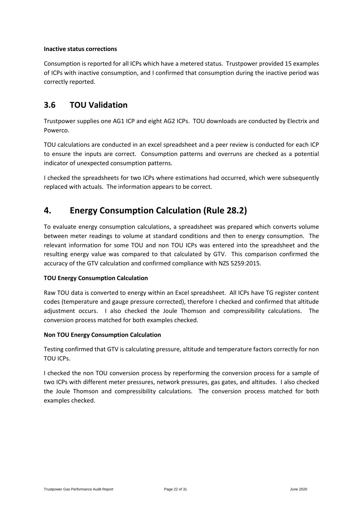#### **Inactive status corrections**

Consumption is reported for all ICPs which have a metered status. Trustpower provided 15 examples of ICPs with inactive consumption, and I confirmed that consumption during the inactive period was correctly reported.

#### <span id="page-21-0"></span>**3.6 TOU Validation**

Trustpower supplies one AG1 ICP and eight AG2 ICPs. TOU downloads are conducted by Electrix and Powerco.

TOU calculations are conducted in an excel spreadsheet and a peer review is conducted for each ICP to ensure the inputs are correct. Consumption patterns and overruns are checked as a potential indicator of unexpected consumption patterns.

I checked the spreadsheets for two ICPs where estimations had occurred, which were subsequently replaced with actuals. The information appears to be correct.

### <span id="page-21-1"></span>**4. Energy Consumption Calculation (Rule 28.2)**

To evaluate energy consumption calculations, a spreadsheet was prepared which converts volume between meter readings to volume at standard conditions and then to energy consumption. The relevant information for some TOU and non TOU ICPs was entered into the spreadsheet and the resulting energy value was compared to that calculated by GTV. This comparison confirmed the accuracy of the GTV calculation and confirmed compliance with NZS 5259:2015.

#### **TOU Energy Consumption Calculation**

Raw TOU data is converted to energy within an Excel spreadsheet. All ICPs have TG register content codes (temperature and gauge pressure corrected), therefore I checked and confirmed that altitude adjustment occurs. I also checked the Joule Thomson and compressibility calculations. The conversion process matched for both examples checked.

#### **Non TOU Energy Consumption Calculation**

Testing confirmed that GTV is calculating pressure, altitude and temperature factors correctly for non TOU ICPs.

I checked the non TOU conversion process by reperforming the conversion process for a sample of two ICPs with different meter pressures, network pressures, gas gates, and altitudes. I also checked the Joule Thomson and compressibility calculations. The conversion process matched for both examples checked.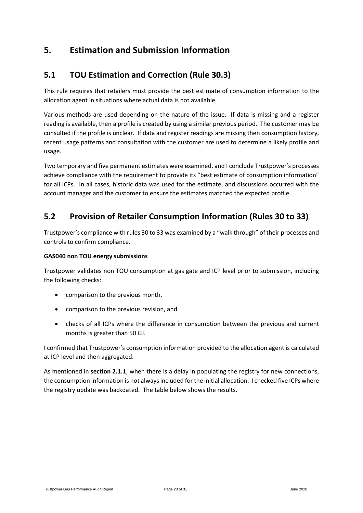### <span id="page-22-0"></span>**5. Estimation and Submission Information**

#### <span id="page-22-1"></span>**5.1 TOU Estimation and Correction (Rule 30.3)**

This rule requires that retailers must provide the best estimate of consumption information to the allocation agent in situations where actual data is not available.

Various methods are used depending on the nature of the issue. If data is missing and a register reading is available, then a profile is created by using a similar previous period. The customer may be consulted if the profile is unclear. If data and register readings are missing then consumption history, recent usage patterns and consultation with the customer are used to determine a likely profile and usage.

Two temporary and five permanent estimates were examined, and I conclude Trustpower's processes achieve compliance with the requirement to provide its "best estimate of consumption information" for all ICPs. In all cases, historic data was used for the estimate, and discussions occurred with the account manager and the customer to ensure the estimates matched the expected profile.

#### <span id="page-22-2"></span>**5.2 Provision of Retailer Consumption Information (Rules 30 to 33)**

Trustpower's compliance with rules 30 to 33 was examined by a "walk through" of their processes and controls to confirm compliance.

#### **GAS040 non TOU energy submissions**

Trustpower validates non TOU consumption at gas gate and ICP level prior to submission, including the following checks:

- comparison to the previous month,
- comparison to the previous revision, and
- checks of all ICPs where the difference in consumption between the previous and current months is greater than 50 GJ.

I confirmed that Trustpower's consumption information provided to the allocation agent is calculated at ICP level and then aggregated.

As mentioned in **section 2.1.1**, when there is a delay in populating the registry for new connections, the consumption information is not always included for the initial allocation. I checked five ICPs where the registry update was backdated. The table below shows the results.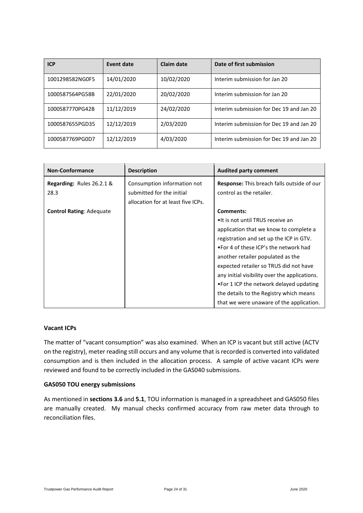| <b>ICP</b>      | Event date | Claim date | Date of first submission                 |
|-----------------|------------|------------|------------------------------------------|
| 1001298582NG0F5 | 14/01/2020 | 10/02/2020 | Interim submission for Jan 20            |
| 1000587564PG58B | 22/01/2020 | 20/02/2020 | Interim submission for Jan 20            |
| 1000587770PG42B | 11/12/2019 | 24/02/2020 | Interim submission for Dec 19 and Jan 20 |
| 1000587655PGD35 | 12/12/2019 | 2/03/2020  | Interim submission for Dec 19 and Jan 20 |
| 1000587769PG0D7 | 12/12/2019 | 4/03/2020  | Interim submission for Dec 19 and Jan 20 |

| <b>Non-Conformance</b>          | <b>Description</b>                 | <b>Audited party comment</b>                      |
|---------------------------------|------------------------------------|---------------------------------------------------|
| Regarding: Rules 26.2.1 &       | Consumption information not        | <b>Response:</b> This breach falls outside of our |
| 28.3                            | submitted for the initial          | control as the retailer.                          |
|                                 | allocation for at least five ICPs. |                                                   |
| <b>Control Rating: Adequate</b> |                                    | Comments:                                         |
|                                 |                                    | •It is not until TRUS receive an                  |
|                                 |                                    | application that we know to complete a            |
|                                 |                                    | registration and set up the ICP in GTV.           |
|                                 |                                    | •For 4 of these ICP's the network had             |
|                                 |                                    | another retailer populated as the                 |
|                                 |                                    | expected retailer so TRUS did not have            |
|                                 |                                    | any initial visibility over the applications.     |
|                                 |                                    | •For 1 ICP the network delayed updating           |
|                                 |                                    | the details to the Registry which means           |
|                                 |                                    | that we were unaware of the application.          |

#### **Vacant ICPs**

The matter of "vacant consumption" was also examined. When an ICP is vacant but still active (ACTV on the registry), meter reading still occurs and any volume that is recorded is converted into validated consumption and is then included in the allocation process. A sample of active vacant ICPs were reviewed and found to be correctly included in the GAS040 submissions.

#### **GAS050 TOU energy submissions**

As mentioned in **sections 3.6** and **5.1**, TOU information is managed in a spreadsheet and GAS050 files are manually created. My manual checks confirmed accuracy from raw meter data through to reconciliation files.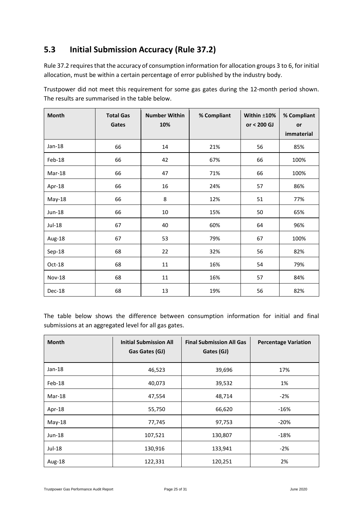### <span id="page-24-0"></span>**5.3 Initial Submission Accuracy (Rule 37.2)**

Rule 37.2 requires that the accuracy of consumption information for allocation groups 3 to 6, for initial allocation, must be within a certain percentage of error published by the industry body.

Trustpower did not meet this requirement for some gas gates during the 12-month period shown. The results are summarised in the table below.

| Month         | <b>Total Gas</b><br>Gates | <b>Number Within</b><br>10% | % Compliant | Within $±10%$<br>or < 200 GJ | % Compliant<br>or<br>immaterial |
|---------------|---------------------------|-----------------------------|-------------|------------------------------|---------------------------------|
| Jan-18        | 66                        | 14                          | 21%         | 56                           | 85%                             |
| Feb-18        | 66                        | 42                          | 67%         | 66                           | 100%                            |
| Mar-18        | 66                        | 47                          | 71%         | 66                           | 100%                            |
| Apr-18        | 66                        | 16                          | 24%         | 57                           | 86%                             |
| May-18        | 66                        | 8                           | 12%         | 51                           | 77%                             |
| Jun-18        | 66                        | 10                          | 15%         | 50                           | 65%                             |
| Jul-18        | 67                        | 40                          | 60%         | 64                           | 96%                             |
| Aug-18        | 67                        | 53                          | 79%         | 67                           | 100%                            |
| Sep-18        | 68                        | 22                          | 32%         | 56                           | 82%                             |
| Oct-18        | 68                        | 11                          | 16%         | 54                           | 79%                             |
| <b>Nov-18</b> | 68                        | 11                          | 16%         | 57                           | 84%                             |
| Dec-18        | 68                        | 13                          | 19%         | 56                           | 82%                             |

The table below shows the difference between consumption information for initial and final submissions at an aggregated level for all gas gates.

| <b>Month</b> | <b>Initial Submission All</b><br>Gas Gates (GJ) | <b>Final Submission All Gas</b><br>Gates (GJ) | <b>Percentage Variation</b> |
|--------------|-------------------------------------------------|-----------------------------------------------|-----------------------------|
| $Jan-18$     | 46,523                                          | 39,696                                        | 17%                         |
| Feb-18       | 40,073                                          | 39,532                                        | 1%                          |
| Mar-18       | 47,554                                          | 48,714                                        | $-2%$                       |
| Apr-18       | 55,750                                          | 66,620                                        | $-16%$                      |
| $May-18$     | 77,745                                          | 97,753                                        | $-20%$                      |
| Jun-18       | 107,521                                         | 130,807                                       | $-18%$                      |
| Jul-18       | 130,916                                         | 133,941                                       | $-2%$                       |
| Aug-18       | 122,331                                         | 120,251                                       | 2%                          |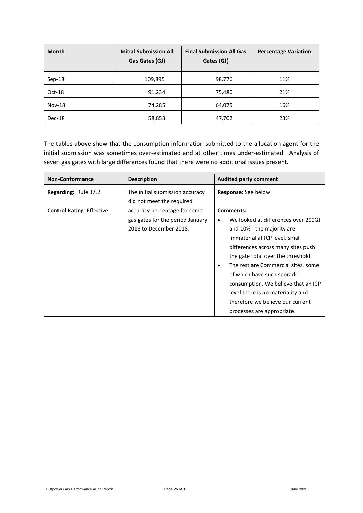| <b>Month</b>  | <b>Initial Submission All</b><br>Gas Gates (GJ) | <b>Final Submission All Gas</b><br>Gates (GJ) | <b>Percentage Variation</b> |
|---------------|-------------------------------------------------|-----------------------------------------------|-----------------------------|
| Sep-18        | 109,895                                         | 98,776                                        | 11%                         |
| Oct-18        | 91,234                                          | 75,480                                        | 21%                         |
| <b>Nov-18</b> | 74,285                                          | 64,075                                        | 16%                         |
| Dec-18        | 58,853                                          | 47,702                                        | 23%                         |

The tables above show that the consumption information submitted to the allocation agent for the initial submission was sometimes over-estimated and at other times under-estimated. Analysis of seven gas gates with large differences found that there were no additional issues present.

| <b>Non-Conformance</b>           | <b>Description</b>                                                                         | <b>Audited party comment</b>                                                                                                                                                                                                                                                                                                                                                                                                       |
|----------------------------------|--------------------------------------------------------------------------------------------|------------------------------------------------------------------------------------------------------------------------------------------------------------------------------------------------------------------------------------------------------------------------------------------------------------------------------------------------------------------------------------------------------------------------------------|
| <b>Regarding: Rule 37.2</b>      | The initial submission accuracy<br>did not meet the required                               | <b>Response:</b> See below                                                                                                                                                                                                                                                                                                                                                                                                         |
| <b>Control Rating: Effective</b> | accuracy percentage for some<br>gas gates for the period January<br>2018 to December 2018. | Comments:<br>We looked at differences over 200GJ<br>٠<br>and 10% - the majority are<br>immaterial at ICP level, small<br>differences across many sites push<br>the gate total over the threshold.<br>The rest are Commercial sites, some<br>$\bullet$<br>of which have such sporadic<br>consumption. We believe that an ICP<br>level there is no materiality and<br>therefore we believe our current<br>processes are appropriate. |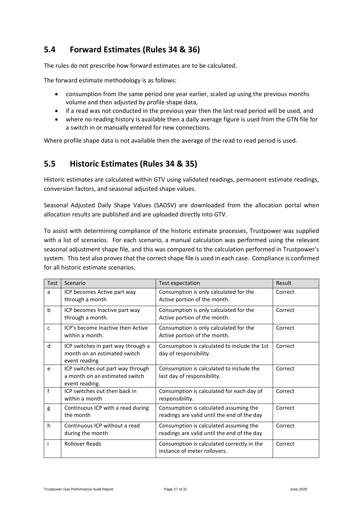### <span id="page-26-0"></span>**5.4 Forward Estimates (Rules 34 & 36)**

The rules do not prescribe how forward estimates are to be calculated.

The forward estimate methodology is as follows:

- consumption from the same period one year earlier, scaled up using the previous months volume and then adjusted by profile shape data,
- if a read was not conducted in the previous year then the last read period will be used, and
- where no reading history is available then a daily average figure is used from the GTN file for a switch in or manually entered for new connections.

<span id="page-26-1"></span>Where profile shape data is not available then the average of the read to read period is used.

#### **5.5 Historic Estimates (Rules 34 & 35)**

Historic estimates are calculated within GTV using validated readings, permanent estimate readings, conversion factors, and seasonal adjusted shape values.

Seasonal Adjusted Daily Shape Values (SADSV) are downloaded from the allocation portal when allocation results are published and are uploaded directly into GTV.

To assist with determining compliance of the historic estimate processes, Trustpower was supplied with a list of scenarios. For each scenario, a manual calculation was performed using the relevant seasonal adjustment shape file, and this was compared to the calculation performed in Trustpower's system. This test also proves that the correct shape file is used in each case. Compliance is confirmed for all historic estimate scenarios.

| Test | Scenario                                                                              | Test expectation                                                                      | Result  |
|------|---------------------------------------------------------------------------------------|---------------------------------------------------------------------------------------|---------|
| a    | ICP becomes Active part way<br>through a month                                        | Consumption is only calculated for the<br>Active portion of the month.                | Correct |
| b    | ICP becomes Inactive part way<br>through a month.                                     | Consumption is only calculated for the<br>Active portion of the month.                | Correct |
| C    | ICP's become Inactive then Active<br>within a month.                                  | Consumption is only calculated for the<br>Active portion of the month.                | Correct |
| d    | ICP switches in part way through a<br>month on an estimated switch<br>event reading   | Consumption is calculated to include the 1st<br>day of responsibility.                | Correct |
| e    | ICP switches out part way through<br>a month on an estimated switch<br>event reading. | Consumption is calculated to include the<br>last day of responsibility.               | Correct |
| f    | ICP switches out then back in<br>within a month                                       | Consumption is calculated for each day of<br>responsibility.                          | Correct |
| g    | Continuous ICP with a read during<br>the month                                        | Consumption is calculated assuming the<br>readings are valid until the end of the day | Correct |
| h    | Continuous ICP without a read<br>during the month                                     | Consumption is calculated assuming the<br>readings are valid until the end of the day | Correct |
|      | <b>Rollover Reads</b>                                                                 | Consumption is calculated correctly in the<br>instance of meter rollovers.            | Correct |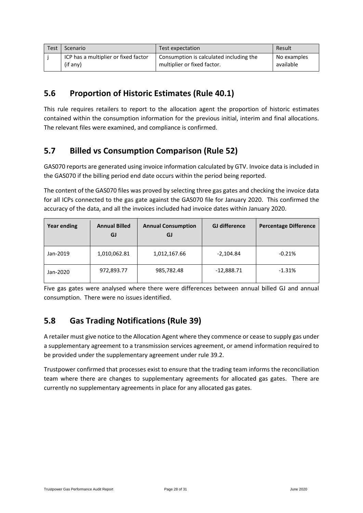| <b>Test</b> | Scenario                             | Test expectation                        | Result      |
|-------------|--------------------------------------|-----------------------------------------|-------------|
|             | ICP has a multiplier or fixed factor | Consumption is calculated including the | No examples |
|             | (if any)                             | multiplier or fixed factor.             | available   |

#### <span id="page-27-0"></span>**5.6 Proportion of Historic Estimates (Rule 40.1)**

This rule requires retailers to report to the allocation agent the proportion of historic estimates contained within the consumption information for the previous initial, interim and final allocations. The relevant files were examined, and compliance is confirmed.

### <span id="page-27-1"></span>**5.7 Billed vs Consumption Comparison (Rule 52)**

GAS070 reports are generated using invoice information calculated by GTV. Invoice data is included in the GAS070 if the billing period end date occurs within the period being reported.

The content of the GAS070 files was proved by selecting three gas gates and checking the invoice data for all ICPs connected to the gas gate against the GAS070 file for January 2020. This confirmed the accuracy of the data, and all the invoices included had invoice dates within January 2020.

| <b>Year ending</b> | <b>Annual Billed</b><br>GJ | <b>Annual Consumption</b><br>GJ | <b>GJ</b> difference | <b>Percentage Difference</b> |
|--------------------|----------------------------|---------------------------------|----------------------|------------------------------|
| Jan-2019           | 1,010,062.81               | 1,012,167.66                    | $-2,104.84$          | $-0.21%$                     |
| Jan-2020           | 972,893.77                 | 985,782.48                      | $-12,888.71$         | $-1.31%$                     |

Five gas gates were analysed where there were differences between annual billed GJ and annual consumption. There were no issues identified.

### <span id="page-27-2"></span>**5.8 Gas Trading Notifications (Rule 39)**

A retailer must give notice to the Allocation Agent where they commence or cease to supply gas under a supplementary agreement to a transmission services agreement, or amend information required to be provided under the supplementary agreement under rule 39.2.

Trustpower confirmed that processes exist to ensure that the trading team informs the reconciliation team where there are changes to supplementary agreements for allocated gas gates. There are currently no supplementary agreements in place for any allocated gas gates.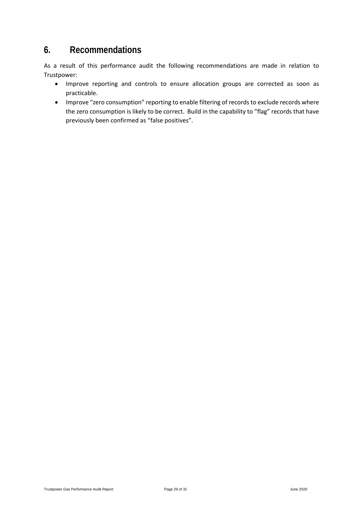### <span id="page-28-0"></span>**6. Recommendations**

As a result of this performance audit the following recommendations are made in relation to Trustpower:

- Improve reporting and controls to ensure allocation groups are corrected as soon as practicable.
- Improve "zero consumption" reporting to enable filtering of records to exclude records where the zero consumption is likely to be correct. Build in the capability to "flag" records that have previously been confirmed as "false positives".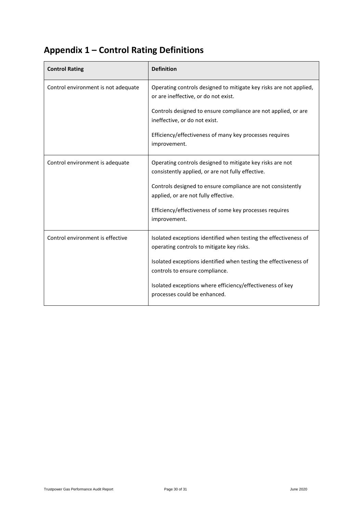# <span id="page-29-0"></span>**Appendix 1 – Control Rating Definitions**

| <b>Control Rating</b>               | <b>Definition</b>                                                                                              |
|-------------------------------------|----------------------------------------------------------------------------------------------------------------|
| Control environment is not adequate | Operating controls designed to mitigate key risks are not applied,<br>or are ineffective, or do not exist.     |
|                                     | Controls designed to ensure compliance are not applied, or are<br>ineffective, or do not exist.                |
|                                     | Efficiency/effectiveness of many key processes requires<br>improvement.                                        |
| Control environment is adequate     | Operating controls designed to mitigate key risks are not<br>consistently applied, or are not fully effective. |
|                                     | Controls designed to ensure compliance are not consistently<br>applied, or are not fully effective.            |
|                                     | Efficiency/effectiveness of some key processes requires<br>improvement.                                        |
| Control environment is effective    | Isolated exceptions identified when testing the effectiveness of<br>operating controls to mitigate key risks.  |
|                                     | Isolated exceptions identified when testing the effectiveness of<br>controls to ensure compliance.             |
|                                     | Isolated exceptions where efficiency/effectiveness of key<br>processes could be enhanced.                      |